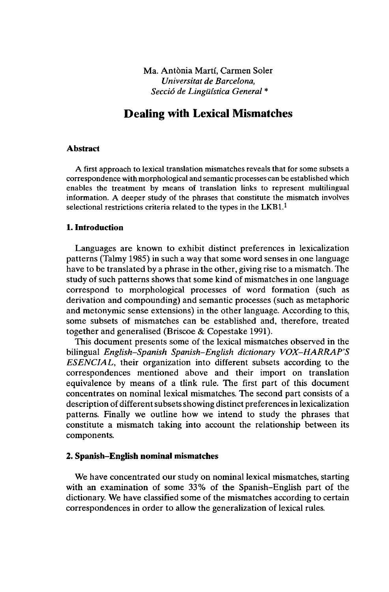Ma. Antönia Marti, Carmen Soler *Universität de Barcelona, Secciô de Lingüistica General \**

# **Dealing with Lexical Mismatches**

#### **Abstract**

A first approach to lexical translation mismatches reveals that for some subsets a correspondence with morphological and semantic processes can be established which enables the treatment by means of translation links to represent multilingual information. A deeper study of the phrases that constitute the mismatch involves selectional restrictions criteria related to the types in the LKB1.<sup>1</sup>

#### **1. Introduction**

Languages are known to exhibit distinct preferences in lexicalization patterns (Talmy 1985) in such a way that some word senses in one language have to be translated by a phrase in the other, giving rise to a mismatch. The study of such patterns shows that some kind of mismatches in one language correspond to morphological processes of word formation (such as derivation and compounding) and semantic processes (such as metaphoric and metonymic sense extensions) in the other language. According to this, some subsets of mismatches can be established and, therefore, treated together and generalised (Briscoe & Copestake 1991).

This document presents some of the lexical mismatches observed in the bilingual *English-Spanish Spanish-English dictionary VOX-HARRAP'S ESENCIAL,* their organization into different subsets according to the correspondences mentioned above and their import on translation equivalence by means of a tlink rule. The first part of this document concentrates on nominal lexical mismatches. The second part consists of a description of different subsets showing distinct preferences in lexicalization patterns. Finally we outline how we intend to study the phrases that constitute a mismatch taking into account the relationship between its components.

# **2. Spanish-English nominal mismatches**

We have concentrated our study on nominal lexical mismatches, starting with an examination of some 33% of the Spanish-English part of the dictionary. We have classified some of the mismatches according to certain correspondences in order to allow the generalization of lexical rules.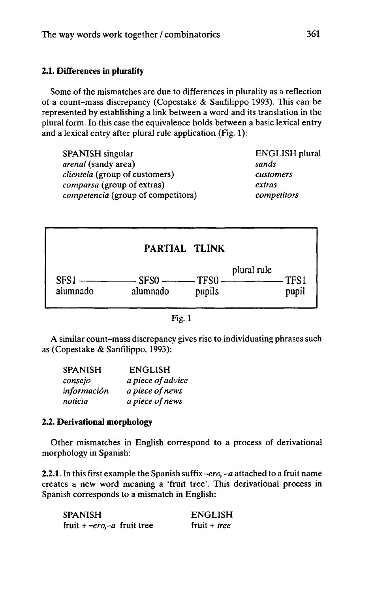# **2.1. Differences in plurality**

Some of the mismatches are due to differences in plurality as a reflection of a count-mass discrepancy (Copestake & Sanfilippo 1993). This can be represented by establishing a link between a word and its translation in the plural form. In this case the equivalence holds between a basic lexical entry and a lexical entry after plural rule application (Fig. 1):

| <b>SPANISH</b> singular               | <b>ENGLISH</b> plural |
|---------------------------------------|-----------------------|
| <i>arenal</i> (sandy area)            | sands                 |
| <i>clientela</i> (group of customers) | customers             |
| comparsa (group of extras)            | extras                |
| competencia (group of competitors)    | competitors           |



| ٠ |
|---|
|---|

A similar count-mass discrepancy gives rise to individuating phrases such as (Copestake & Sanfilippo, 1993):

| <b>SPANISH</b> | <b>ENGLISH</b>    |
|----------------|-------------------|
| consejo        | a piece of advice |
| información    | a piece of news   |
| noticia        | a piece of news   |

# **2.2. Derivational morphology**

Other mismatches in English correspond to a process of derivational morphology in Spanish:

**2.2.1.** In this first example the Spanish suffix *-ero, -a* attached to a fruit name creates a new word meaning a 'fruit tree'. This derivational process in Spanish corresponds to a mismatch in English:

| SPANISH                               | <b>ENGLISH</b>      |
|---------------------------------------|---------------------|
| fruit + – <i>ero</i> , – a fruit tree | fruit + <i>tree</i> |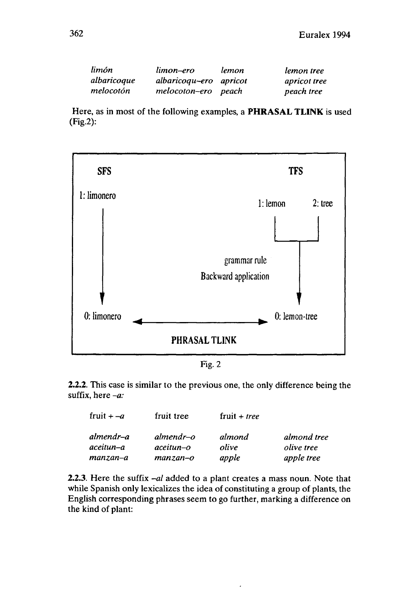| limón       | limon–ero              | lemon | lemon tree   |
|-------------|------------------------|-------|--------------|
| albaricoque | albaricoqu-ero apricot |       | apricot tree |
| melocotón   | melocoton-ero peach    |       | peach tree   |

Here, as in most of the following examples, a **PHRASAL TLINK** is used (Fig.2):



Fig.2

**2.2.2.** This case is similar to the previous one, the only difference being the suffix, here *-a:*

| fruit $+ -a$           | fruit tree                          | fruit + <i>tree</i> |                                 |
|------------------------|-------------------------------------|---------------------|---------------------------------|
| almendr–a<br>aceitun–a | $almost$ almendr $-$ o<br>aceitun-o | almond<br>olive     | almond tree                     |
| manzan–a               | $manzan-o$                          | apple               | <i>olive</i> tree<br>apple tree |

**2.2.3.** Here the suffix *-al* added to a plant creates a mass noun. Note that while Spanish only lexicalizes the idea of constituting a group of plants, the English corresponding phrases seem to go further, marking a difference on the kind of plant: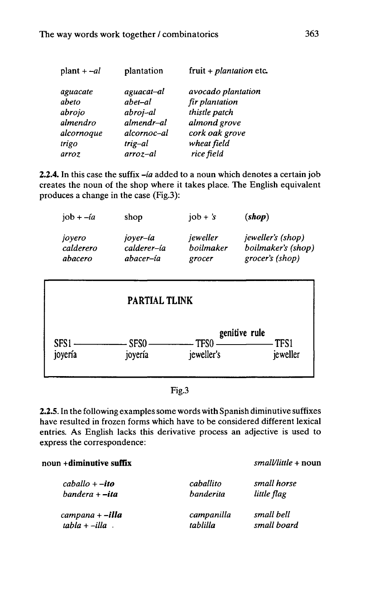| $plant + -al$                                                           | plantation                                                                               | fruit + $plantation$ etc.                                                                                            |
|-------------------------------------------------------------------------|------------------------------------------------------------------------------------------|----------------------------------------------------------------------------------------------------------------------|
| aguacate<br>abeto<br>abrojo<br>almendro<br>alcornoque<br>trigo<br>arroz | aguacat-al<br>abet-al<br>abroj-al<br>almendr-al<br>alcornoc-al<br>trig-al<br>$arroz -al$ | avocado plantation<br>fir plantation<br>thistle patch<br>almond grove<br>cork oak grove<br>wheat field<br>rice field |
|                                                                         |                                                                                          |                                                                                                                      |

**2.2.4.** In this case the suffix *-ia* added to a noun which denotes a certain job creates the noun of the shop where it takes place. The English equivalent produces a change in the case (Fig.3):

| job + $-i\alpha$               | shop                                 | $job + 's$                      | (shop)                                                            |
|--------------------------------|--------------------------------------|---------------------------------|-------------------------------------------------------------------|
| joyero<br>calderero<br>abacero | joyer–ía<br>calderer-ía<br>abacer–ía | jeweller<br>boilmaker<br>grocer | <i>jeweller's (shop)</i><br>boilmaker's (shop)<br>grocer's (shop) |
|                                | <b>PARTIAL TLINK</b>                 |                                 |                                                                   |
| SFS1<br>joyería                | SFS <sub>0</sub><br>joyería          | TFS <sub>0</sub><br>jeweller's  | genitive rule<br>TFS1<br>jeweller                                 |

**2.2.5.** In the following examples some words with Spanish diminutive suffixes have resulted in frozen forms which have to be considered different lexical entries. As English lacks this derivative process an adjective is used to express the correspondence:

# <sup>i</sup> **+diminutive suffix** *small/little <sup>+</sup>* noun

| $caballo + -ito$       | caballito        | small horse |
|------------------------|------------------|-------------|
| $bandera - ita$        | <i>banderita</i> | little flag |
| campana + <b>–illa</b> | campanilla       | small bell  |
| $tabla + - illa$       | tablilla         | small board |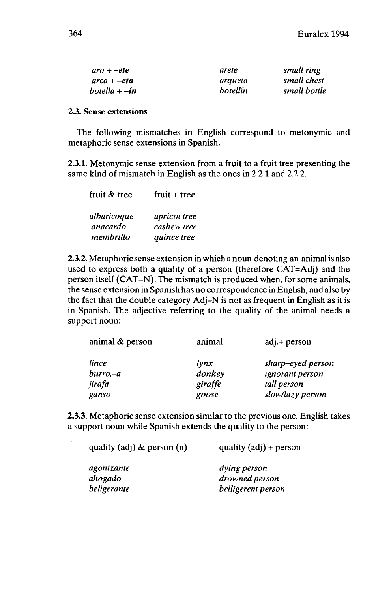| $aro + - etc$               | arete    | small ring   |
|-----------------------------|----------|--------------|
| $arca + -eta$               | arqueta  | small chest  |
| $b$ otella + $-i\mathbf{n}$ | botellín | small bottle |

### **2.3. Sense extensions**

The following mismatches in English correspond to metonymic and metaphoric sense extensions in Spanish.

**2.3.1.** Metonymie sense extension from a fruit to a fruit tree presenting the same kind of mismatch in English as the ones in 2.2.1 and 2.2.2.

| fruit & tree | $fruit + tree$ |
|--------------|----------------|
| albaricoque  | apricot tree   |
| anacardo     | cashew tree    |
| membrillo    | quince tree    |

**2.3.2.** Metaphoric sense extension in which a noun denoting an animalis also used to express both a quality of a person (therefore CAT=Adj) and the person itself (CAT=N). The mismatch is produced when, for some animals, the sense extension in Spanish has no correspondence in English, and also by the fact that the double category Adj-N is not as frequent in English as it is in Spanish. The adjective referring to the quality of the animal needs a support noun:

| animal & person | animal         | $adj.+$ person         |
|-----------------|----------------|------------------------|
| lince           | $l$ <i>ynx</i> | sharp-eyed person      |
| $burno, -a$     | donkey         | <i>ignorant person</i> |
| jirafa          | giraffe        | tall person            |
| ganso           | goose          | slow/lazy person       |

**2.3.3.** Metaphoric sense extension similar to the previous one. English takes a support noun while Spanish extends the quality to the person:

| quality (adj) $\&$ person (n) | quality $(adj) + person$       |  |
|-------------------------------|--------------------------------|--|
| agonizante<br>ahogado         | dying person<br>drowned person |  |
| beligerante                   | belligerent person             |  |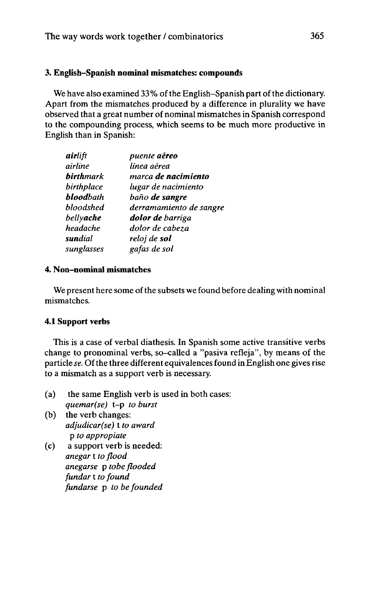# **3. English-Spanish nominal mismatches: compounds**

We have also examined 33% of the English–Spanish part of the dictionary. Apart from the mismatches produced by a difference in plurality we have observed that a great number of nominal mismatches in Spanish correspond to the compounding process, which seems to be much more productive in English than in Spanish:

| airlift           | puente aéreo            |
|-------------------|-------------------------|
| airline           | línea aérea             |
| <b>birth</b> mark | marca de nacimiento     |
| birthplace        | lugar de nacimiento     |
| <b>blood</b> bath | baño de sangre          |
| bloodshed         | derramamiento de sangre |
| bellyache         | dolor de barriga        |
| headache          | dolor de cabeza         |
| <b>sun</b> dial   | reloj de s <b>ol</b>    |
| sunglasses        | gafas de sol            |

# **4. Non-nominal mismatches**

We present here some of the subsets we found before dealing with nominal mismatches.

# **4.1 Support verbs**

This is a case of verbal diathesis. In Spanish some active transitive verbs change to pronominal verbs, so-called a "pasiva refleja", by means of the particle *se*. Of the three different equivalences found in English one gives rise to a mismatch as a support verb is necessary.

- (a) the same English verb is used in both cases: *quemar(se)* t-p *to burst*
- (b) the verb changes: *adjudicar(se)* t *to award* p *to appropiate*
- (c) a support verb is needed: *anegar* **t** *to flood anegarse* p *tobe flooded fundar* t *to found fundarse* p *to be founded*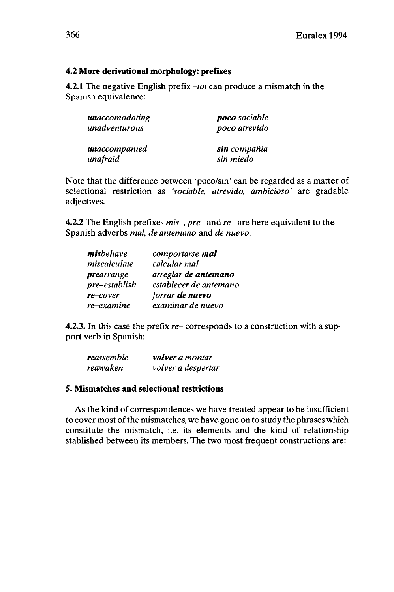# **4.2 More derivational morphology: prefixes**

**4.2.1** The negative English prefix *-un* can produce a mismatch in the Spanish equivalence:

| <b>un</b> accomodating | <b>poco</b> sociable<br>poco atrevido |  |
|------------------------|---------------------------------------|--|
| unadventurous          |                                       |  |
| <b>un</b> accompanied  | sin compañía                          |  |
| unafraid               | sin miedo                             |  |

Note that the difference between 'poco/sin' can be regarded as a matter of selectional restriction as *'sociable, atrevido, ambicioso'* are gradable adjectives.

**4.2.2** The English prefixes *mis-, pre-* and *re-* are here equivalent to the Spanish adverbs *mal, de antemano* and *de nuevo.*

| misbehave         | comportarse mal        |
|-------------------|------------------------|
| miscalculate      | calcular mal           |
| <i>prearrange</i> | arreglar de antemano   |
| pre-establish     | establecer de antemano |
| re-cover          | forrar de nuevo        |
| re-examine        | examinar de nuevo      |

**4.2.3.** In this case the prefix *re-* corresponds to a construction with a support verb in Spanish:

| reassemble | volver a montar    |
|------------|--------------------|
| reawaken   | volver a despertar |

# **5. Mismatches and selectional restrictions**

As the kind of correspondences we have treated appear to be insufficient to cover most of the mismatches, we have gone on to study the phrases which constitute the mismatch, i.e. its elements and the kind of relationship stablished between its members. The two most frequent constructions are: